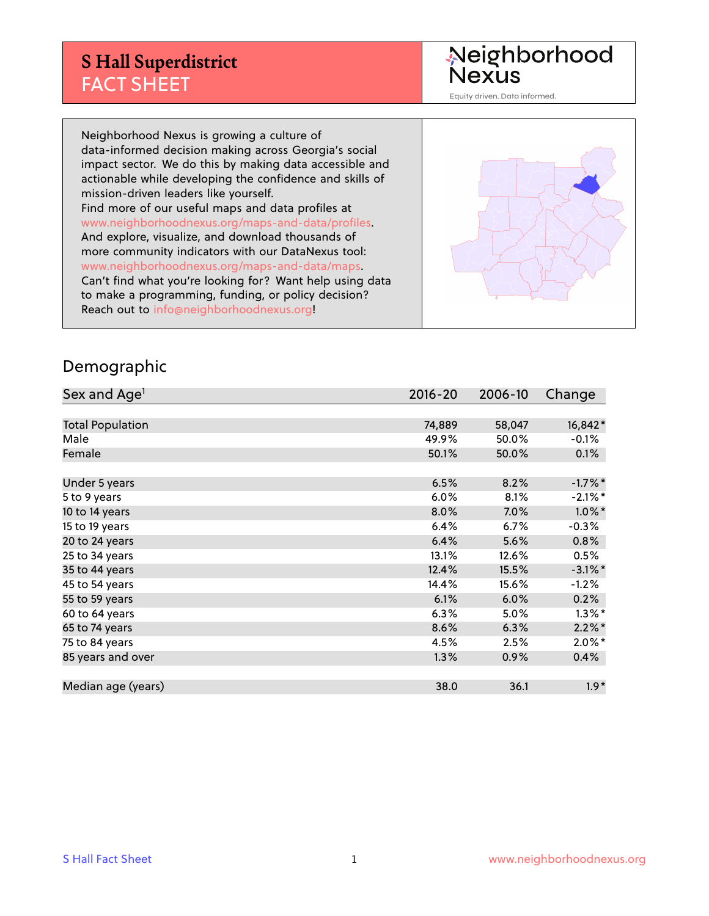Neighborhood<br>Nexus

Equity driven. Data informed.

Neighborhood Nexus is growing a culture of data-informed decision making across Georgia's social impact sector. We do this by making data accessible and actionable while developing the confidence and skills of mission-driven leaders like yourself. Find more of our useful maps and data profiles at www.neighborhoodnexus.org/maps-and-data/profiles. And explore, visualize, and download thousands of more community indicators with our DataNexus tool: www.neighborhoodnexus.org/maps-and-data/maps. Can't find what you're looking for? Want help using data to make a programming, funding, or policy decision? Reach out to [info@neighborhoodnexus.org!](mailto:info@neighborhoodnexus.org)



#### Demographic

| Sex and Age <sup>1</sup> | $2016 - 20$ | 2006-10 | Change     |
|--------------------------|-------------|---------|------------|
|                          |             |         |            |
| <b>Total Population</b>  | 74,889      | 58,047  | 16,842*    |
| Male                     | 49.9%       | 50.0%   | $-0.1\%$   |
| Female                   | 50.1%       | 50.0%   | 0.1%       |
|                          |             |         |            |
| Under 5 years            | 6.5%        | 8.2%    | $-1.7%$ *  |
| 5 to 9 years             | 6.0%        | 8.1%    | $-2.1\%$ * |
| 10 to 14 years           | 8.0%        | 7.0%    | $1.0\%$ *  |
| 15 to 19 years           | 6.4%        | 6.7%    | $-0.3%$    |
| 20 to 24 years           | 6.4%        | 5.6%    | 0.8%       |
| 25 to 34 years           | 13.1%       | 12.6%   | 0.5%       |
| 35 to 44 years           | 12.4%       | 15.5%   | $-3.1\%$ * |
| 45 to 54 years           | 14.4%       | 15.6%   | $-1.2%$    |
| 55 to 59 years           | 6.1%        | 6.0%    | 0.2%       |
| 60 to 64 years           | 6.3%        | 5.0%    | $1.3\%$ *  |
| 65 to 74 years           | 8.6%        | 6.3%    | $2.2\%$ *  |
| 75 to 84 years           | 4.5%        | 2.5%    | $2.0\%$ *  |
| 85 years and over        | 1.3%        | 0.9%    | $0.4\%$    |
|                          |             |         |            |
| Median age (years)       | 38.0        | 36.1    | $1.9*$     |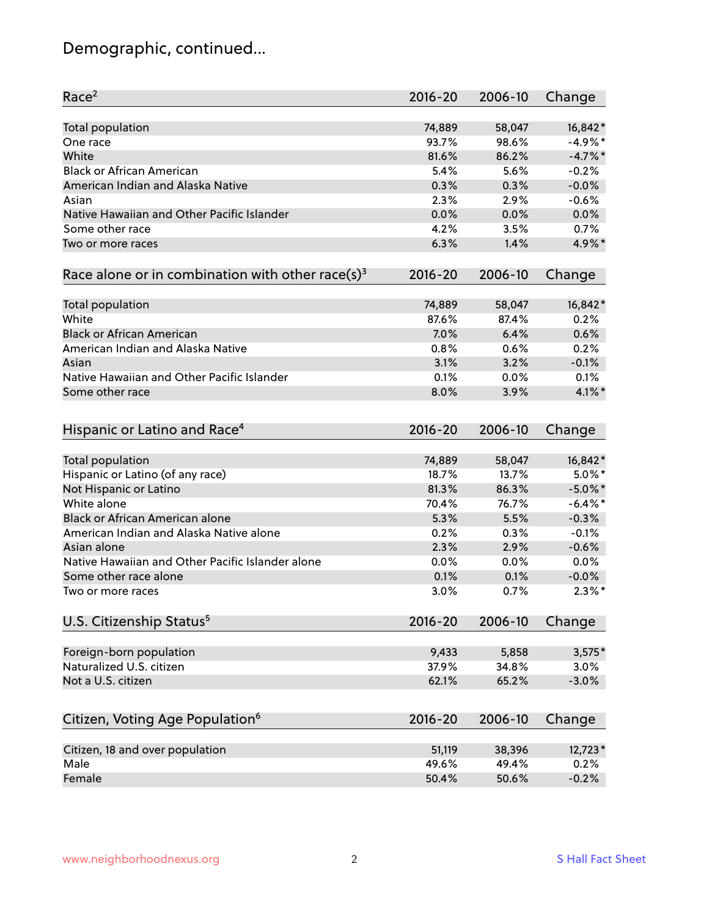# Demographic, continued...

| Race <sup>2</sup>                                            | $2016 - 20$ | 2006-10 | Change     |
|--------------------------------------------------------------|-------------|---------|------------|
| <b>Total population</b>                                      | 74,889      | 58,047  | 16,842*    |
| One race                                                     | 93.7%       | 98.6%   | $-4.9%$ *  |
| White                                                        | 81.6%       | 86.2%   | $-4.7\%$ * |
| <b>Black or African American</b>                             | 5.4%        | 5.6%    | $-0.2%$    |
| American Indian and Alaska Native                            | 0.3%        | 0.3%    | $-0.0%$    |
| Asian                                                        | 2.3%        | 2.9%    | $-0.6%$    |
| Native Hawaiian and Other Pacific Islander                   | 0.0%        | 0.0%    | 0.0%       |
| Some other race                                              | 4.2%        | 3.5%    | 0.7%       |
| Two or more races                                            | 6.3%        | 1.4%    | 4.9%*      |
| Race alone or in combination with other race(s) <sup>3</sup> | $2016 - 20$ | 2006-10 | Change     |
|                                                              |             |         |            |
| Total population                                             | 74,889      | 58,047  | 16,842*    |
| White                                                        | 87.6%       | 87.4%   | 0.2%       |
| <b>Black or African American</b>                             | 7.0%        | 6.4%    | 0.6%       |
| American Indian and Alaska Native                            | 0.8%        | 0.6%    | 0.2%       |
| Asian                                                        | 3.1%        | 3.2%    | $-0.1%$    |
| Native Hawaiian and Other Pacific Islander                   | 0.1%        | 0.0%    | 0.1%       |
| Some other race                                              | 8.0%        | 3.9%    | 4.1%*      |
|                                                              |             |         |            |
| Hispanic or Latino and Race <sup>4</sup>                     | $2016 - 20$ | 2006-10 | Change     |
| <b>Total population</b>                                      | 74,889      | 58,047  | 16,842*    |
| Hispanic or Latino (of any race)                             | 18.7%       | 13.7%   | $5.0\%$ *  |
| Not Hispanic or Latino                                       | 81.3%       | 86.3%   | $-5.0\%$ * |
| White alone                                                  | 70.4%       | 76.7%   | $-6.4\%$ * |
| Black or African American alone                              | 5.3%        | 5.5%    | $-0.3%$    |
| American Indian and Alaska Native alone                      | 0.2%        | 0.3%    | $-0.1%$    |
| Asian alone                                                  | 2.3%        | 2.9%    | $-0.6%$    |
| Native Hawaiian and Other Pacific Islander alone             | 0.0%        | 0.0%    | 0.0%       |
| Some other race alone                                        | 0.1%        | 0.1%    | $-0.0%$    |
| Two or more races                                            | 3.0%        | 0.7%    | $2.3\%$ *  |
|                                                              |             |         |            |
| U.S. Citizenship Status <sup>5</sup>                         | $2016 - 20$ | 2006-10 | Change     |
| Foreign-born population                                      | 9,433       | 5,858   | $3,575*$   |
| Naturalized U.S. citizen                                     | 37.9%       | 34.8%   | 3.0%       |
| Not a U.S. citizen                                           | 62.1%       | 65.2%   | $-3.0%$    |
|                                                              |             |         |            |
| Citizen, Voting Age Population <sup>6</sup>                  | $2016 - 20$ | 2006-10 | Change     |
| Citizen, 18 and over population                              | 51,119      | 38,396  | 12,723*    |
| Male                                                         | 49.6%       | 49.4%   | 0.2%       |
| Female                                                       | 50.4%       | 50.6%   | $-0.2%$    |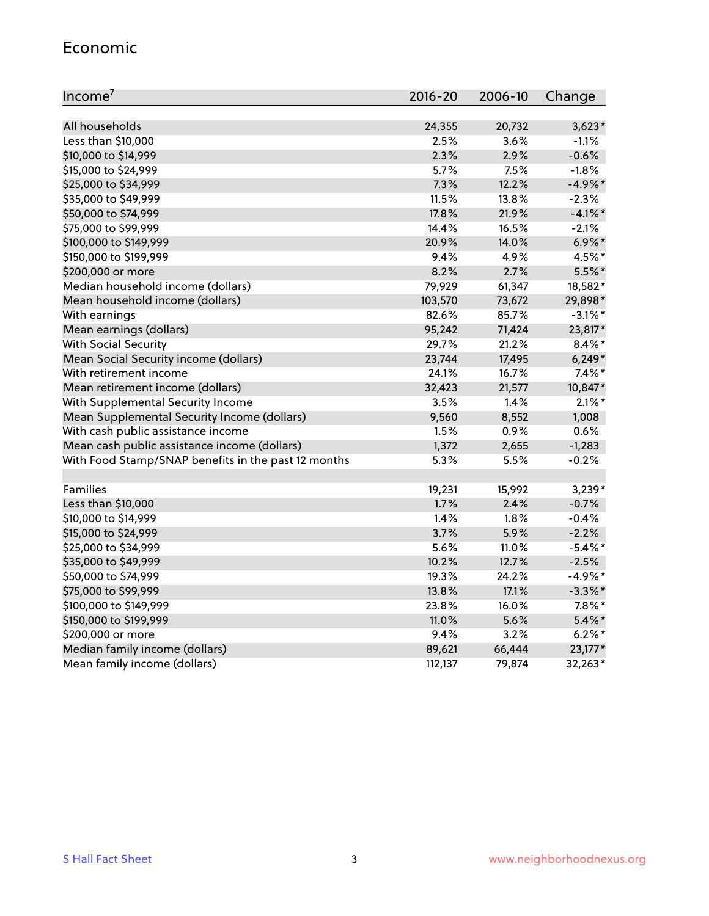#### Economic

| Income <sup>7</sup>                                 | 2016-20 | 2006-10 | Change     |
|-----------------------------------------------------|---------|---------|------------|
|                                                     |         |         |            |
| All households                                      | 24,355  | 20,732  | $3,623*$   |
| Less than \$10,000                                  | 2.5%    | 3.6%    | $-1.1%$    |
| \$10,000 to \$14,999                                | 2.3%    | 2.9%    | $-0.6%$    |
| \$15,000 to \$24,999                                | 5.7%    | 7.5%    | $-1.8%$    |
| \$25,000 to \$34,999                                | 7.3%    | 12.2%   | $-4.9\%$ * |
| \$35,000 to \$49,999                                | 11.5%   | 13.8%   | $-2.3%$    |
| \$50,000 to \$74,999                                | 17.8%   | 21.9%   | $-4.1\%$ * |
| \$75,000 to \$99,999                                | 14.4%   | 16.5%   | $-2.1%$    |
| \$100,000 to \$149,999                              | 20.9%   | 14.0%   | $6.9\%$ *  |
| \$150,000 to \$199,999                              | 9.4%    | 4.9%    | 4.5%*      |
| \$200,000 or more                                   | 8.2%    | 2.7%    | $5.5%$ *   |
| Median household income (dollars)                   | 79,929  | 61,347  | 18,582*    |
| Mean household income (dollars)                     | 103,570 | 73,672  | 29,898*    |
| With earnings                                       | 82.6%   | 85.7%   | $-3.1\%$ * |
| Mean earnings (dollars)                             | 95,242  | 71,424  | 23,817*    |
| <b>With Social Security</b>                         | 29.7%   | 21.2%   | $8.4\%$ *  |
| Mean Social Security income (dollars)               | 23,744  | 17,495  | $6,249*$   |
| With retirement income                              | 24.1%   | 16.7%   | $7.4\%$ *  |
| Mean retirement income (dollars)                    | 32,423  | 21,577  | 10,847*    |
| With Supplemental Security Income                   | 3.5%    | 1.4%    | $2.1\%$ *  |
| Mean Supplemental Security Income (dollars)         | 9,560   | 8,552   | 1,008      |
| With cash public assistance income                  | 1.5%    | 0.9%    | 0.6%       |
| Mean cash public assistance income (dollars)        | 1,372   | 2,655   | $-1,283$   |
| With Food Stamp/SNAP benefits in the past 12 months | 5.3%    | 5.5%    | $-0.2%$    |
|                                                     |         |         |            |
| Families                                            | 19,231  | 15,992  | $3,239*$   |
| Less than \$10,000                                  | 1.7%    | 2.4%    | $-0.7%$    |
| \$10,000 to \$14,999                                | 1.4%    | 1.8%    | $-0.4%$    |
| \$15,000 to \$24,999                                | 3.7%    | 5.9%    | $-2.2%$    |
| \$25,000 to \$34,999                                | 5.6%    | 11.0%   | $-5.4\%$ * |
| \$35,000 to \$49,999                                | 10.2%   | 12.7%   | $-2.5%$    |
| \$50,000 to \$74,999                                | 19.3%   | 24.2%   | $-4.9%$ *  |
| \$75,000 to \$99,999                                | 13.8%   | 17.1%   | $-3.3\%$ * |
| \$100,000 to \$149,999                              | 23.8%   | 16.0%   | $7.8\%$ *  |
| \$150,000 to \$199,999                              | 11.0%   | 5.6%    | $5.4\%$ *  |
| \$200,000 or more                                   | 9.4%    | 3.2%    | $6.2\%$ *  |
| Median family income (dollars)                      | 89,621  | 66,444  | 23,177*    |
| Mean family income (dollars)                        | 112,137 | 79,874  | 32,263*    |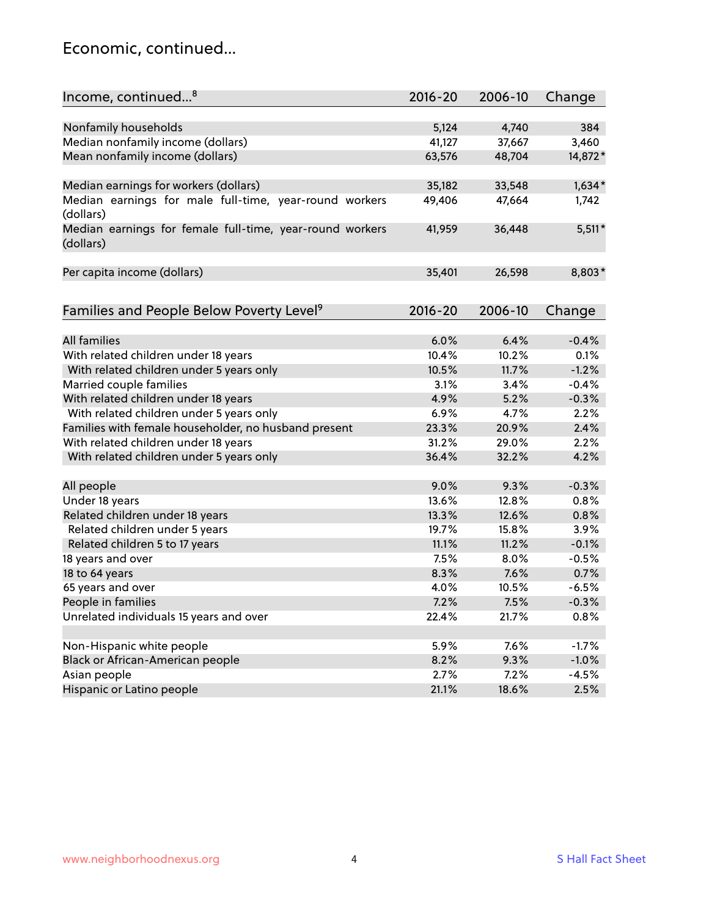#### Economic, continued...

| Income, continued <sup>8</sup>                                        | $2016 - 20$ | 2006-10 | Change   |
|-----------------------------------------------------------------------|-------------|---------|----------|
|                                                                       |             |         |          |
| Nonfamily households                                                  | 5,124       | 4,740   | 384      |
| Median nonfamily income (dollars)                                     | 41,127      | 37,667  | 3,460    |
| Mean nonfamily income (dollars)                                       | 63,576      | 48,704  | 14,872*  |
| Median earnings for workers (dollars)                                 | 35,182      | 33,548  | $1,634*$ |
| Median earnings for male full-time, year-round workers                | 49,406      | 47,664  | 1,742    |
| (dollars)                                                             |             |         |          |
| Median earnings for female full-time, year-round workers<br>(dollars) | 41,959      | 36,448  | $5,511*$ |
| Per capita income (dollars)                                           | 35,401      | 26,598  | 8,803*   |
|                                                                       |             |         |          |
| Families and People Below Poverty Level <sup>9</sup>                  | 2016-20     | 2006-10 | Change   |
|                                                                       |             |         |          |
| <b>All families</b>                                                   | 6.0%        | 6.4%    | $-0.4%$  |
| With related children under 18 years                                  | 10.4%       | 10.2%   | 0.1%     |
| With related children under 5 years only                              | 10.5%       | 11.7%   | $-1.2%$  |
| Married couple families                                               | 3.1%        | 3.4%    | $-0.4%$  |
| With related children under 18 years                                  | 4.9%        | 5.2%    | $-0.3%$  |
| With related children under 5 years only                              | 6.9%        | 4.7%    | 2.2%     |
| Families with female householder, no husband present                  | 23.3%       | 20.9%   | 2.4%     |
| With related children under 18 years                                  | 31.2%       | 29.0%   | 2.2%     |
| With related children under 5 years only                              | 36.4%       | 32.2%   | 4.2%     |
| All people                                                            | 9.0%        | 9.3%    | $-0.3%$  |
| Under 18 years                                                        | 13.6%       | 12.8%   | 0.8%     |
| Related children under 18 years                                       | 13.3%       | 12.6%   | 0.8%     |
| Related children under 5 years                                        | 19.7%       | 15.8%   | 3.9%     |
| Related children 5 to 17 years                                        | 11.1%       | 11.2%   | $-0.1%$  |
| 18 years and over                                                     | 7.5%        | 8.0%    | $-0.5%$  |
| 18 to 64 years                                                        | 8.3%        | 7.6%    | 0.7%     |
| 65 years and over                                                     | 4.0%        | 10.5%   | $-6.5%$  |
| People in families                                                    | 7.2%        | 7.5%    | $-0.3%$  |
| Unrelated individuals 15 years and over                               | 22.4%       | 21.7%   | 0.8%     |
|                                                                       |             |         |          |
| Non-Hispanic white people                                             | 5.9%        | 7.6%    | $-1.7%$  |
| Black or African-American people                                      | 8.2%        | 9.3%    | $-1.0%$  |
| Asian people                                                          | 2.7%        | 7.2%    | $-4.5%$  |
| Hispanic or Latino people                                             | 21.1%       | 18.6%   | 2.5%     |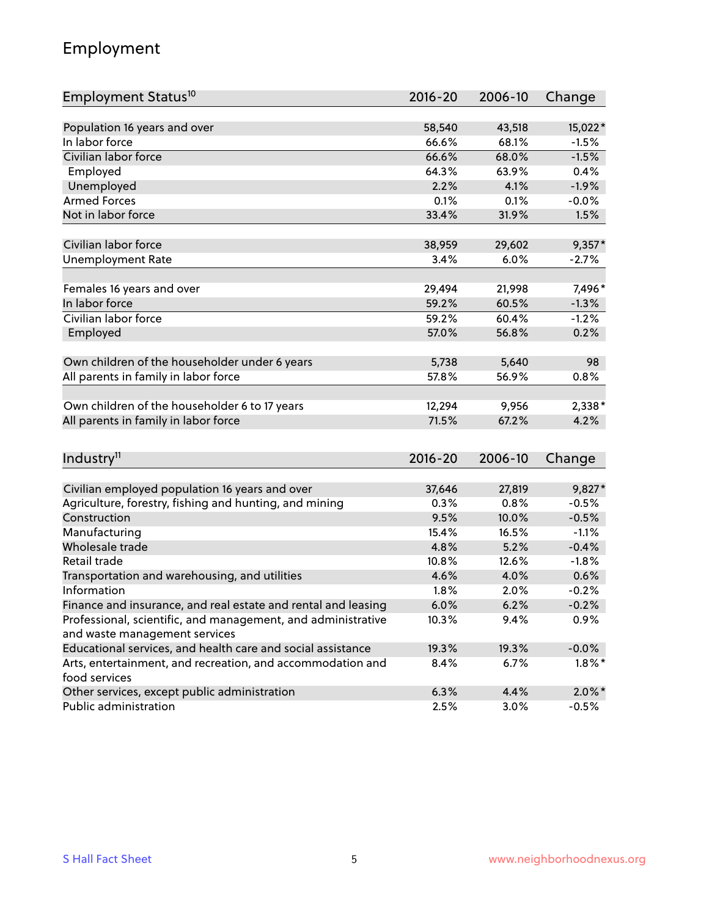## Employment

| Employment Status <sup>10</sup>                                        | $2016 - 20$    | 2006-10        | Change            |
|------------------------------------------------------------------------|----------------|----------------|-------------------|
|                                                                        |                |                |                   |
| Population 16 years and over                                           | 58,540         | 43,518         | 15,022*           |
| In labor force                                                         | 66.6%          | 68.1%          | $-1.5%$           |
| Civilian labor force                                                   | 66.6%          | 68.0%          | $-1.5%$           |
| Employed                                                               | 64.3%          | 63.9%          | 0.4%              |
| Unemployed                                                             | 2.2%           | 4.1%           | $-1.9%$           |
| <b>Armed Forces</b>                                                    | 0.1%           | 0.1%           | $-0.0%$           |
| Not in labor force                                                     | 33.4%          | 31.9%          | 1.5%              |
|                                                                        |                |                |                   |
| Civilian labor force                                                   | 38,959         | 29,602         | $9,357*$          |
| <b>Unemployment Rate</b>                                               | 3.4%           | 6.0%           | $-2.7%$           |
| Females 16 years and over                                              | 29,494         | 21,998         | 7,496*            |
| In labor force                                                         | 59.2%          | 60.5%          | $-1.3%$           |
| Civilian labor force                                                   | 59.2%          | 60.4%          | $-1.2%$           |
| Employed                                                               | 57.0%          | 56.8%          | 0.2%              |
|                                                                        |                |                |                   |
| Own children of the householder under 6 years                          | 5,738          | 5,640          | 98                |
| All parents in family in labor force                                   | 57.8%          | 56.9%          | 0.8%              |
|                                                                        |                |                |                   |
| Own children of the householder 6 to 17 years                          | 12,294         | 9,956          | 2,338*            |
| All parents in family in labor force                                   | 71.5%          | 67.2%          | 4.2%              |
|                                                                        |                |                |                   |
| Industry <sup>11</sup>                                                 | $2016 - 20$    | 2006-10        | Change            |
|                                                                        |                |                |                   |
| Civilian employed population 16 years and over                         | 37,646<br>0.3% | 27,819<br>0.8% | 9,827*<br>$-0.5%$ |
| Agriculture, forestry, fishing and hunting, and mining<br>Construction | 9.5%           | 10.0%          | $-0.5%$           |
| Manufacturing                                                          | 15.4%          | 16.5%          | $-1.1%$           |
| Wholesale trade                                                        | 4.8%           | 5.2%           | $-0.4%$           |
| Retail trade                                                           | 10.8%          | 12.6%          | $-1.8%$           |
| Transportation and warehousing, and utilities                          | 4.6%           | 4.0%           | 0.6%              |
| Information                                                            | 1.8%           | 2.0%           | $-0.2%$           |
| Finance and insurance, and real estate and rental and leasing          | 6.0%           | 6.2%           | $-0.2%$           |
| Professional, scientific, and management, and administrative           | 10.3%          | 9.4%           | 0.9%              |
| and waste management services                                          |                |                |                   |
| Educational services, and health care and social assistance            | 19.3%          | 19.3%          | $-0.0%$           |
| Arts, entertainment, and recreation, and accommodation and             | 8.4%           | 6.7%           | $1.8\%$ *         |
| food services                                                          |                |                |                   |
| Other services, except public administration                           | 6.3%           | 4.4%           | $2.0\%$ *         |
| Public administration                                                  | 2.5%           | 3.0%           | $-0.5%$           |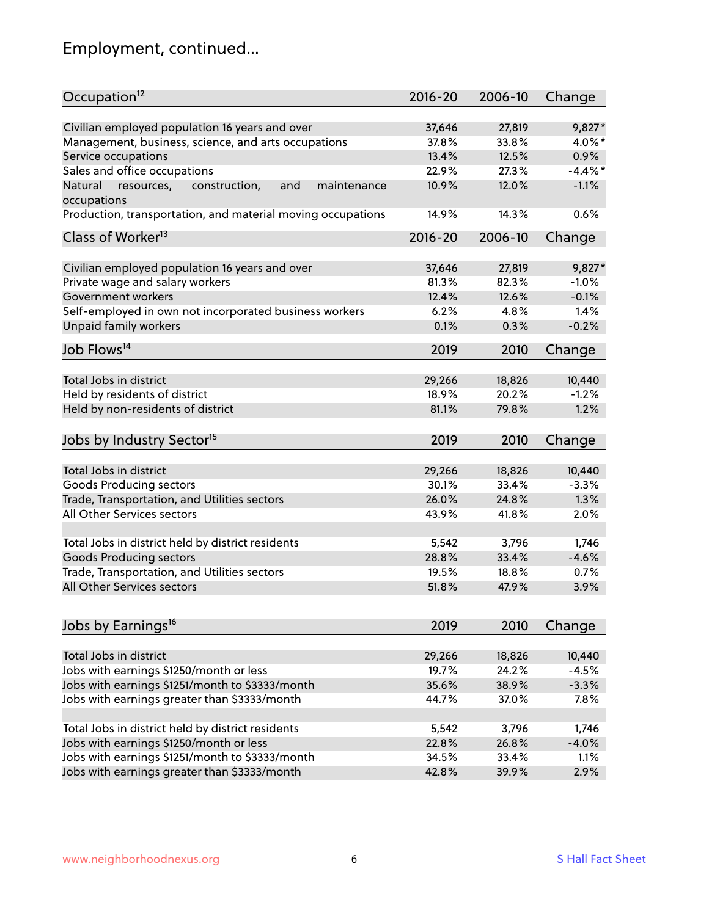# Employment, continued...

| Occupation <sup>12</sup>                                                    | $2016 - 20$ | 2006-10 | Change     |
|-----------------------------------------------------------------------------|-------------|---------|------------|
| Civilian employed population 16 years and over                              | 37,646      | 27,819  | $9,827*$   |
| Management, business, science, and arts occupations                         | 37.8%       | 33.8%   | 4.0%*      |
| Service occupations                                                         | 13.4%       | 12.5%   | 0.9%       |
| Sales and office occupations                                                | 22.9%       | 27.3%   | $-4.4\%$ * |
|                                                                             |             |         | $-1.1%$    |
| Natural<br>and<br>resources,<br>construction,<br>maintenance<br>occupations | 10.9%       | 12.0%   |            |
| Production, transportation, and material moving occupations                 | 14.9%       | 14.3%   | 0.6%       |
| Class of Worker <sup>13</sup>                                               | $2016 - 20$ | 2006-10 | Change     |
| Civilian employed population 16 years and over                              | 37,646      | 27,819  | 9,827*     |
| Private wage and salary workers                                             | 81.3%       | 82.3%   | $-1.0%$    |
|                                                                             |             | 12.6%   | $-0.1%$    |
| Government workers                                                          | 12.4%       |         |            |
| Self-employed in own not incorporated business workers                      | 6.2%        | 4.8%    | 1.4%       |
| Unpaid family workers                                                       | 0.1%        | 0.3%    | $-0.2%$    |
| Job Flows <sup>14</sup>                                                     | 2019        | 2010    | Change     |
|                                                                             |             |         |            |
| Total Jobs in district                                                      | 29,266      | 18,826  | 10,440     |
| Held by residents of district                                               | 18.9%       | 20.2%   | $-1.2%$    |
| Held by non-residents of district                                           | 81.1%       | 79.8%   | 1.2%       |
| Jobs by Industry Sector <sup>15</sup>                                       | 2019        | 2010    | Change     |
| Total Jobs in district                                                      | 29,266      | 18,826  | 10,440     |
|                                                                             |             |         |            |
| Goods Producing sectors                                                     | 30.1%       | 33.4%   | $-3.3%$    |
| Trade, Transportation, and Utilities sectors                                | 26.0%       | 24.8%   | 1.3%       |
| All Other Services sectors                                                  | 43.9%       | 41.8%   | 2.0%       |
| Total Jobs in district held by district residents                           | 5,542       | 3,796   | 1,746      |
| <b>Goods Producing sectors</b>                                              | 28.8%       | 33.4%   | $-4.6%$    |
| Trade, Transportation, and Utilities sectors                                | 19.5%       | 18.8%   | 0.7%       |
| All Other Services sectors                                                  | 51.8%       | 47.9%   | 3.9%       |
|                                                                             |             |         |            |
| Jobs by Earnings <sup>16</sup>                                              | 2019        | 2010    | Change     |
|                                                                             |             |         |            |
| Total Jobs in district                                                      | 29,266      | 18,826  | 10,440     |
| Jobs with earnings \$1250/month or less                                     | 19.7%       | 24.2%   | $-4.5%$    |
| Jobs with earnings \$1251/month to \$3333/month                             | 35.6%       | 38.9%   | $-3.3%$    |
| Jobs with earnings greater than \$3333/month                                | 44.7%       | 37.0%   | 7.8%       |
| Total Jobs in district held by district residents                           | 5,542       | 3,796   | 1,746      |
| Jobs with earnings \$1250/month or less                                     | 22.8%       | 26.8%   | $-4.0%$    |
| Jobs with earnings \$1251/month to \$3333/month                             | 34.5%       | 33.4%   | 1.1%       |
| Jobs with earnings greater than \$3333/month                                | 42.8%       | 39.9%   | 2.9%       |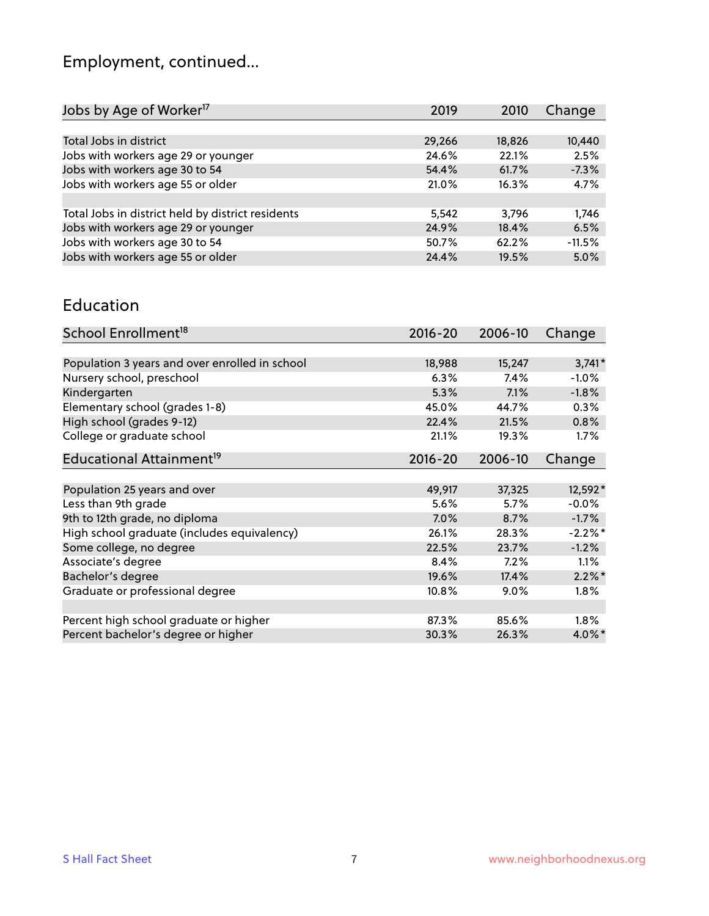# Employment, continued...

| Jobs by Age of Worker <sup>17</sup>               | 2019   | 2010   | Change   |
|---------------------------------------------------|--------|--------|----------|
|                                                   |        |        |          |
| Total Jobs in district                            | 29,266 | 18,826 | 10,440   |
| Jobs with workers age 29 or younger               | 24.6%  | 22.1%  | 2.5%     |
| Jobs with workers age 30 to 54                    | 54.4%  | 61.7%  | $-7.3%$  |
| Jobs with workers age 55 or older                 | 21.0%  | 16.3%  | 4.7%     |
|                                                   |        |        |          |
| Total Jobs in district held by district residents | 5,542  | 3.796  | 1,746    |
| Jobs with workers age 29 or younger               | 24.9%  | 18.4%  | 6.5%     |
| Jobs with workers age 30 to 54                    | 50.7%  | 62.2%  | $-11.5%$ |
| Jobs with workers age 55 or older                 | 24.4%  | 19.5%  | 5.0%     |
|                                                   |        |        |          |

#### Education

| School Enrollment <sup>18</sup>                | $2016 - 20$ | 2006-10 | Change    |
|------------------------------------------------|-------------|---------|-----------|
|                                                |             |         |           |
| Population 3 years and over enrolled in school | 18,988      | 15,247  | $3,741*$  |
| Nursery school, preschool                      | 6.3%        | 7.4%    | $-1.0%$   |
| Kindergarten                                   | 5.3%        | 7.1%    | $-1.8%$   |
| Elementary school (grades 1-8)                 | 45.0%       | 44.7%   | 0.3%      |
| High school (grades 9-12)                      | 22.4%       | 21.5%   | 0.8%      |
| College or graduate school                     | 21.1%       | 19.3%   | $1.7\%$   |
| Educational Attainment <sup>19</sup>           | $2016 - 20$ | 2006-10 | Change    |
|                                                |             |         |           |
| Population 25 years and over                   | 49,917      | 37,325  | 12,592*   |
| Less than 9th grade                            | 5.6%        | 5.7%    | $-0.0%$   |
| 9th to 12th grade, no diploma                  | 7.0%        | 8.7%    | $-1.7%$   |
| High school graduate (includes equivalency)    | 26.1%       | 28.3%   | $-2.2%$   |
| Some college, no degree                        | 22.5%       | 23.7%   | $-1.2%$   |
| Associate's degree                             | 8.4%        | 7.2%    | 1.1%      |
| Bachelor's degree                              | 19.6%       | 17.4%   | $2.2\%$ * |
| Graduate or professional degree                | 10.8%       | $9.0\%$ | $1.8\%$   |
|                                                |             |         |           |
| Percent high school graduate or higher         | 87.3%       | 85.6%   | $1.8\%$   |
| Percent bachelor's degree or higher            | 30.3%       | 26.3%   | $4.0\%$ * |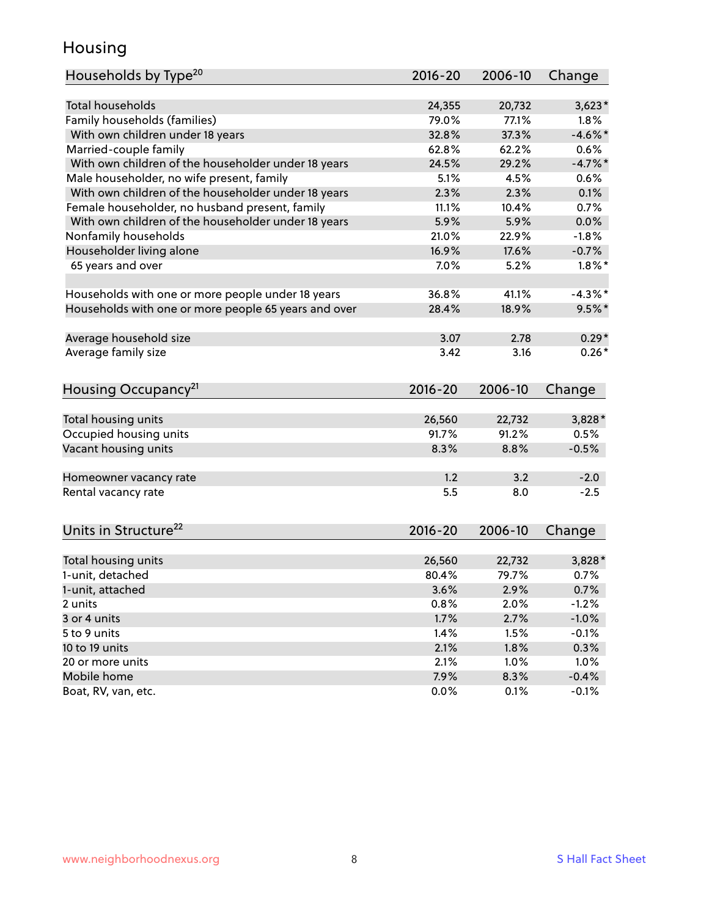## Housing

| Households by Type <sup>20</sup>                     | 2016-20 | 2006-10 | Change     |
|------------------------------------------------------|---------|---------|------------|
|                                                      |         |         |            |
| <b>Total households</b>                              | 24,355  | 20,732  | $3,623*$   |
| Family households (families)                         | 79.0%   | 77.1%   | 1.8%       |
| With own children under 18 years                     | 32.8%   | 37.3%   | $-4.6\%$ * |
| Married-couple family                                | 62.8%   | 62.2%   | 0.6%       |
| With own children of the householder under 18 years  | 24.5%   | 29.2%   | $-4.7\%$ * |
| Male householder, no wife present, family            | 5.1%    | 4.5%    | 0.6%       |
| With own children of the householder under 18 years  | 2.3%    | 2.3%    | 0.1%       |
| Female householder, no husband present, family       | 11.1%   | 10.4%   | 0.7%       |
| With own children of the householder under 18 years  | 5.9%    | 5.9%    | 0.0%       |
| Nonfamily households                                 | 21.0%   | 22.9%   | $-1.8%$    |
| Householder living alone                             | 16.9%   | 17.6%   | $-0.7%$    |
| 65 years and over                                    | 7.0%    | 5.2%    | $1.8\%$ *  |
|                                                      |         |         |            |
| Households with one or more people under 18 years    | 36.8%   | 41.1%   | $-4.3\%$ * |
| Households with one or more people 65 years and over | 28.4%   | 18.9%   | $9.5%$ *   |
|                                                      |         |         |            |
| Average household size                               | 3.07    | 2.78    | $0.29*$    |
| Average family size                                  | 3.42    | 3.16    | $0.26*$    |
|                                                      | 2016-20 | 2006-10 |            |
| Housing Occupancy <sup>21</sup>                      |         |         | Change     |
| Total housing units                                  | 26,560  | 22,732  | 3,828*     |
| Occupied housing units                               | 91.7%   | 91.2%   | 0.5%       |
| Vacant housing units                                 | 8.3%    | 8.8%    | $-0.5%$    |
|                                                      |         |         |            |
| Homeowner vacancy rate                               | 1.2     | 3.2     | $-2.0$     |
| Rental vacancy rate                                  | 5.5     | 8.0     | $-2.5$     |
|                                                      |         |         |            |
| Units in Structure <sup>22</sup>                     | 2016-20 | 2006-10 | Change     |
|                                                      |         |         |            |
| Total housing units                                  | 26,560  | 22,732  | 3,828*     |
| 1-unit, detached                                     | 80.4%   | 79.7%   | 0.7%       |
| 1-unit, attached                                     | 3.6%    | 2.9%    | 0.7%       |
| 2 units                                              | 0.8%    | 2.0%    | $-1.2%$    |
| 3 or 4 units                                         | 1.7%    | 2.7%    | $-1.0%$    |
| 5 to 9 units                                         | 1.4%    | 1.5%    | $-0.1%$    |
| 10 to 19 units                                       | 2.1%    | 1.8%    | 0.3%       |
| 20 or more units                                     | 2.1%    | 1.0%    | 1.0%       |
| Mobile home                                          | 7.9%    | 8.3%    | $-0.4%$    |
| Boat, RV, van, etc.                                  | 0.0%    | 0.1%    | $-0.1%$    |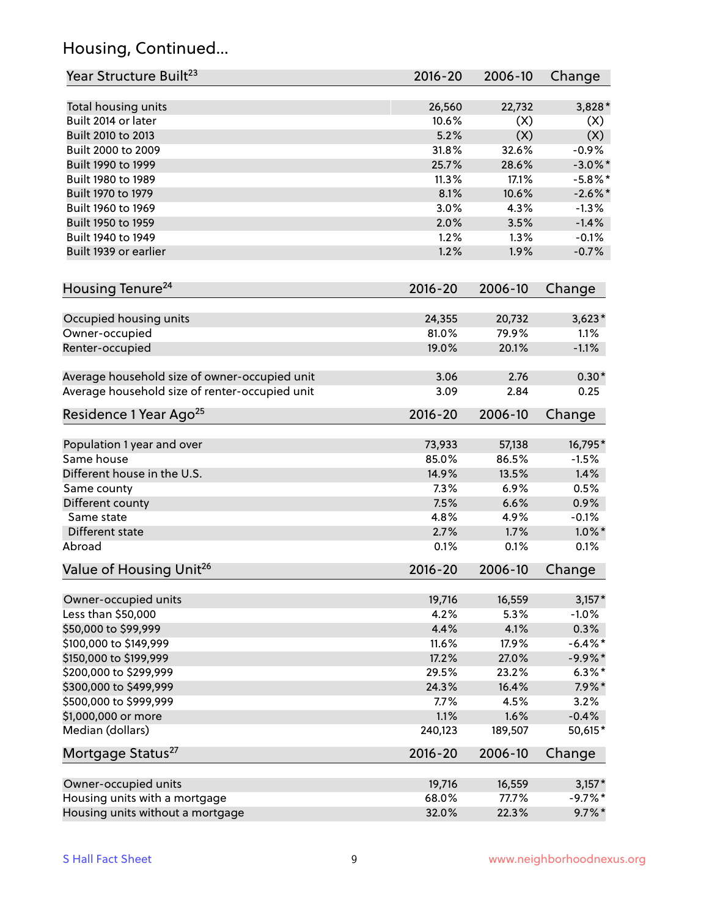## Housing, Continued...

| Year Structure Built <sup>23</sup>             | 2016-20     | 2006-10 | Change     |
|------------------------------------------------|-------------|---------|------------|
| Total housing units                            | 26,560      | 22,732  | $3,828*$   |
| Built 2014 or later                            | 10.6%       | (X)     | (X)        |
| Built 2010 to 2013                             | 5.2%        | (X)     | (X)        |
| Built 2000 to 2009                             | 31.8%       | 32.6%   | $-0.9%$    |
| Built 1990 to 1999                             | 25.7%       | 28.6%   | $-3.0\%$ * |
| Built 1980 to 1989                             | 11.3%       | 17.1%   | $-5.8%$ *  |
| Built 1970 to 1979                             | 8.1%        | 10.6%   | $-2.6\%$ * |
| Built 1960 to 1969                             | 3.0%        | 4.3%    | $-1.3%$    |
| Built 1950 to 1959                             | 2.0%        | 3.5%    | $-1.4%$    |
| Built 1940 to 1949                             | 1.2%        | 1.3%    | $-0.1%$    |
| Built 1939 or earlier                          | 1.2%        | 1.9%    | $-0.7%$    |
| Housing Tenure <sup>24</sup>                   | $2016 - 20$ | 2006-10 |            |
|                                                |             |         | Change     |
| Occupied housing units                         | 24,355      | 20,732  | $3,623*$   |
| Owner-occupied                                 | 81.0%       | 79.9%   | 1.1%       |
| Renter-occupied                                | 19.0%       | 20.1%   | $-1.1%$    |
| Average household size of owner-occupied unit  | 3.06        | 2.76    | $0.30*$    |
| Average household size of renter-occupied unit | 3.09        | 2.84    | 0.25       |
| Residence 1 Year Ago <sup>25</sup>             | $2016 - 20$ | 2006-10 | Change     |
|                                                |             |         |            |
| Population 1 year and over                     | 73,933      | 57,138  | 16,795*    |
| Same house                                     | 85.0%       | 86.5%   | $-1.5%$    |
| Different house in the U.S.                    | 14.9%       | 13.5%   | 1.4%       |
| Same county                                    | 7.3%        | 6.9%    | 0.5%       |
| Different county                               | 7.5%        | 6.6%    | 0.9%       |
| Same state                                     | 4.8%        | 4.9%    | $-0.1%$    |
| Different state                                | 2.7%        | 1.7%    | $1.0\%$ *  |
| Abroad                                         | 0.1%        | 0.1%    | 0.1%       |
| Value of Housing Unit <sup>26</sup>            | $2016 - 20$ | 2006-10 | Change     |
| Owner-occupied units                           | 19,716      | 16,559  | $3,157*$   |
| Less than \$50,000                             | 4.2%        | 5.3%    | $-1.0%$    |
| \$50,000 to \$99,999                           | 4.4%        | 4.1%    | 0.3%       |
| \$100,000 to \$149,999                         | 11.6%       | 17.9%   | $-6.4\%$ * |
| \$150,000 to \$199,999                         | 17.2%       | 27.0%   | $-9.9\%$ * |
| \$200,000 to \$299,999                         | 29.5%       | 23.2%   | $6.3\%$ *  |
| \$300,000 to \$499,999                         | 24.3%       | 16.4%   | $7.9\%*$   |
| \$500,000 to \$999,999                         | 7.7%        | 4.5%    | 3.2%       |
| \$1,000,000 or more                            | 1.1%        | 1.6%    | $-0.4%$    |
| Median (dollars)                               | 240,123     | 189,507 | 50,615*    |
| Mortgage Status <sup>27</sup>                  | $2016 - 20$ | 2006-10 | Change     |
| Owner-occupied units                           | 19,716      | 16,559  | $3,157*$   |
| Housing units with a mortgage                  | 68.0%       | 77.7%   | $-9.7%$ *  |
| Housing units without a mortgage               | 32.0%       | 22.3%   | $9.7\%$ *  |
|                                                |             |         |            |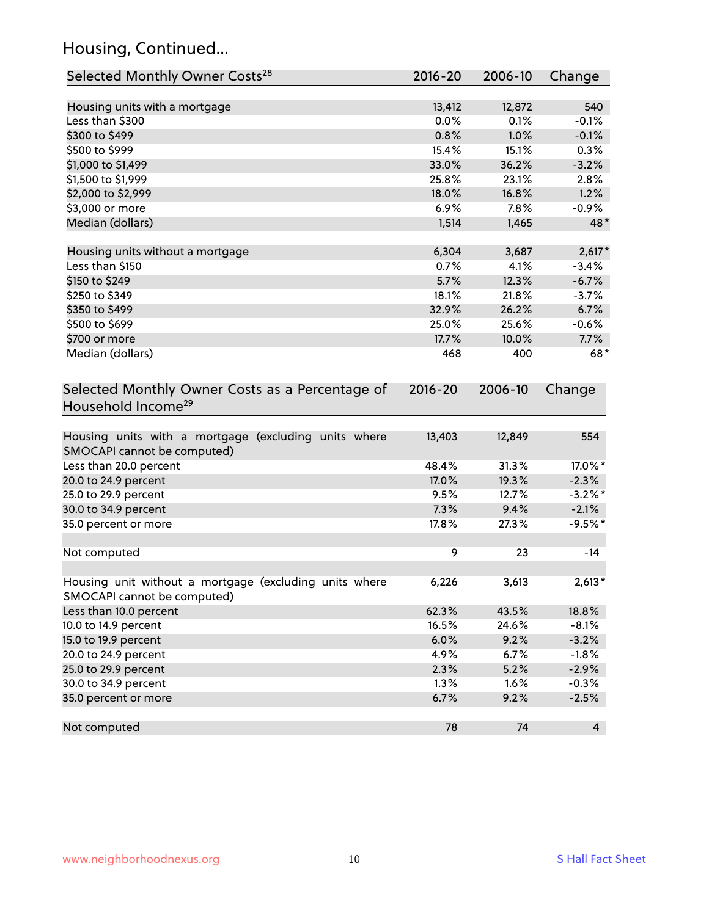## Housing, Continued...

| Selected Monthly Owner Costs <sup>28</sup>                                            | 2016-20       | 2006-10       | Change              |
|---------------------------------------------------------------------------------------|---------------|---------------|---------------------|
| Housing units with a mortgage                                                         | 13,412        | 12,872        | 540                 |
| Less than \$300                                                                       | 0.0%          | 0.1%          | $-0.1%$             |
| \$300 to \$499                                                                        | 0.8%          | 1.0%          | $-0.1%$             |
| \$500 to \$999                                                                        | 15.4%         | 15.1%         | 0.3%                |
| \$1,000 to \$1,499                                                                    | 33.0%         | 36.2%         | $-3.2%$             |
| \$1,500 to \$1,999                                                                    | 25.8%         | 23.1%         | 2.8%                |
| \$2,000 to \$2,999                                                                    | 18.0%         | 16.8%         | 1.2%                |
| \$3,000 or more                                                                       | 6.9%          | 7.8%          | $-0.9%$             |
| Median (dollars)                                                                      | 1,514         | 1,465         | 48*                 |
|                                                                                       |               |               |                     |
| Housing units without a mortgage<br>Less than \$150                                   | 6,304<br>0.7% | 3,687<br>4.1% | $2,617*$<br>$-3.4%$ |
| \$150 to \$249                                                                        | 5.7%          | 12.3%         | $-6.7%$             |
| \$250 to \$349                                                                        | 18.1%         | 21.8%         | $-3.7%$             |
| \$350 to \$499                                                                        | 32.9%         | 26.2%         | 6.7%                |
| \$500 to \$699                                                                        | 25.0%         | 25.6%         | $-0.6%$             |
| \$700 or more                                                                         | 17.7%         | 10.0%         | 7.7%                |
| Median (dollars)                                                                      | 468           | 400           | $68*$               |
|                                                                                       |               |               |                     |
| Selected Monthly Owner Costs as a Percentage of<br>Household Income <sup>29</sup>     | $2016 - 20$   | 2006-10       | Change              |
| Housing units with a mortgage (excluding units where<br>SMOCAPI cannot be computed)   | 13,403        | 12,849        | 554                 |
| Less than 20.0 percent                                                                | 48.4%         | 31.3%         | 17.0%*              |
| 20.0 to 24.9 percent                                                                  | 17.0%         | 19.3%         | $-2.3%$             |
| 25.0 to 29.9 percent                                                                  | 9.5%          | 12.7%         | $-3.2\%$ *          |
| 30.0 to 34.9 percent                                                                  | 7.3%          | 9.4%          | $-2.1%$             |
| 35.0 percent or more                                                                  | 17.8%         | 27.3%         | $-9.5%$ *           |
| Not computed                                                                          | 9             | 23            | $-14$               |
| Housing unit without a mortgage (excluding units where<br>SMOCAPI cannot be computed) | 6,226         | 3,613         | $2,613*$            |
| Less than 10.0 percent                                                                | 62.3%         | 43.5%         | 18.8%               |
| 10.0 to 14.9 percent                                                                  | 16.5%         | 24.6%         | $-8.1%$             |
| 15.0 to 19.9 percent                                                                  | 6.0%          | 9.2%          | $-3.2%$             |
| 20.0 to 24.9 percent                                                                  | 4.9%          | 6.7%          | $-1.8%$             |
| 25.0 to 29.9 percent                                                                  | 2.3%          | 5.2%          | $-2.9%$             |
| 30.0 to 34.9 percent                                                                  | 1.3%          | 1.6%          | $-0.3%$             |
| 35.0 percent or more                                                                  | 6.7%          | 9.2%          | $-2.5%$             |
| Not computed                                                                          | 78            | 74            | $\overline{4}$      |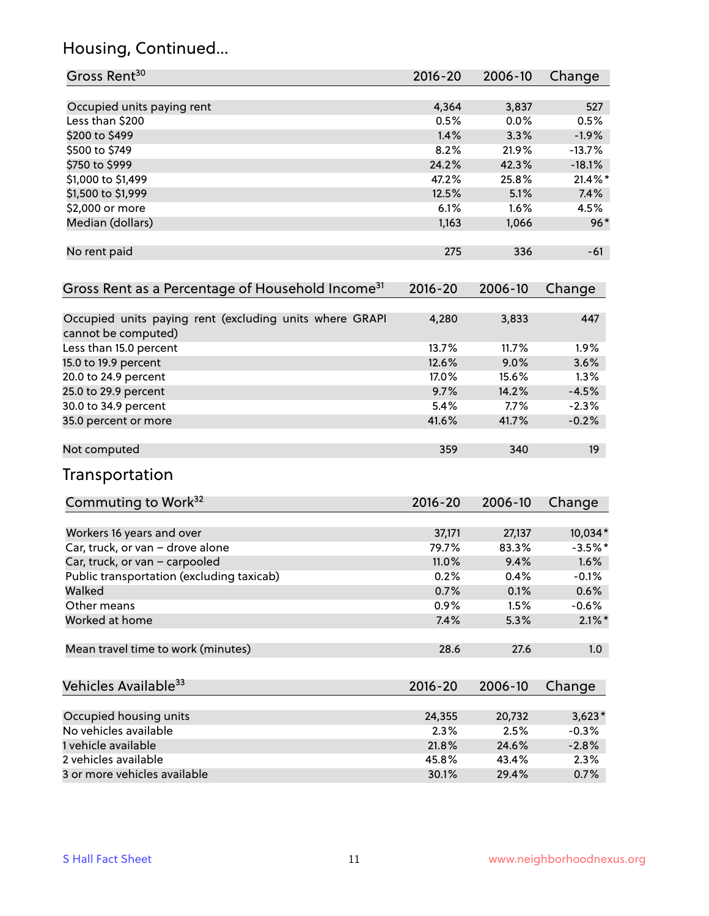## Housing, Continued...

| Gross Rent <sup>30</sup>                                                       | 2016-20     | 2006-10 | Change          |
|--------------------------------------------------------------------------------|-------------|---------|-----------------|
| Occupied units paying rent                                                     | 4,364       | 3,837   | 527             |
| Less than \$200                                                                | 0.5%        | 0.0%    | 0.5%            |
| \$200 to \$499                                                                 | 1.4%        | 3.3%    | $-1.9%$         |
| \$500 to \$749                                                                 | 8.2%        | 21.9%   | $-13.7%$        |
| \$750 to \$999                                                                 | 24.2%       | 42.3%   | $-18.1%$        |
| \$1,000 to \$1,499                                                             | 47.2%       | 25.8%   | $21.4\%$ *      |
| \$1,500 to \$1,999                                                             | 12.5%       | 5.1%    | 7.4%            |
| \$2,000 or more                                                                | 6.1%        | 1.6%    | 4.5%            |
| Median (dollars)                                                               | 1,163       | 1,066   | $96*$           |
| No rent paid                                                                   | 275         | 336     | $-61$           |
| Gross Rent as a Percentage of Household Income <sup>31</sup>                   | $2016 - 20$ | 2006-10 | Change          |
| Occupied units paying rent (excluding units where GRAPI<br>cannot be computed) | 4,280       | 3,833   | 447             |
| Less than 15.0 percent                                                         | 13.7%       | 11.7%   | 1.9%            |
| 15.0 to 19.9 percent                                                           | 12.6%       | 9.0%    | 3.6%            |
| 20.0 to 24.9 percent                                                           | 17.0%       | 15.6%   | 1.3%            |
| 25.0 to 29.9 percent                                                           | 9.7%        | 14.2%   | $-4.5%$         |
| 30.0 to 34.9 percent                                                           | 5.4%        | 7.7%    | $-2.3%$         |
| 35.0 percent or more                                                           | 41.6%       | 41.7%   | $-0.2%$         |
| Not computed                                                                   | 359         | 340     | 19 <sup>°</sup> |
| Transportation                                                                 |             |         |                 |
| Commuting to Work <sup>32</sup>                                                | 2016-20     | 2006-10 | Change          |
| Workers 16 years and over                                                      | 37,171      | 27,137  | 10,034*         |
| Car, truck, or van - drove alone                                               | 79.7%       | 83.3%   | $-3.5%$ *       |
| Car, truck, or van - carpooled                                                 | 11.0%       | 9.4%    | 1.6%            |
| Public transportation (excluding taxicab)                                      | 0.2%        | 0.4%    | $-0.1%$         |
| Walked                                                                         | 0.7%        | 0.1%    | 0.6%            |
| Other means                                                                    | 0.9%        | 1.5%    | $-0.6%$         |
| Worked at home                                                                 | 7.4%        | 5.3%    | $2.1\%$ *       |
| Mean travel time to work (minutes)                                             | 28.6        | 27.6    | 1.0             |
| Vehicles Available <sup>33</sup>                                               | 2016-20     | 2006-10 | Change          |
| Occupied housing units                                                         | 24,355      | 20,732  | $3,623*$        |
| No vehicles available                                                          | 2.3%        | 2.5%    | $-0.3%$         |
| 1 vehicle available                                                            | 21.8%       | 24.6%   | $-2.8%$         |
| 2 vehicles available                                                           | 45.8%       | 43.4%   | 2.3%            |
| 3 or more vehicles available                                                   | 30.1%       | 29.4%   | 0.7%            |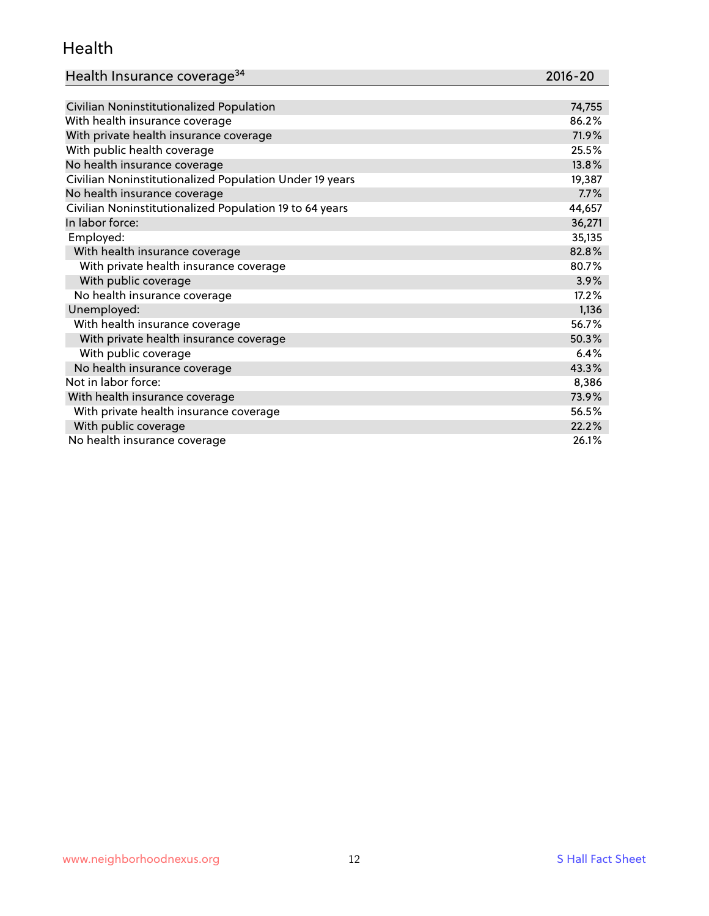#### Health

| Health Insurance coverage <sup>34</sup> | 2016-20 |
|-----------------------------------------|---------|
|-----------------------------------------|---------|

| Civilian Noninstitutionalized Population                | 74,755 |
|---------------------------------------------------------|--------|
| With health insurance coverage                          | 86.2%  |
| With private health insurance coverage                  | 71.9%  |
| With public health coverage                             | 25.5%  |
| No health insurance coverage                            | 13.8%  |
| Civilian Noninstitutionalized Population Under 19 years | 19,387 |
| No health insurance coverage                            | 7.7%   |
| Civilian Noninstitutionalized Population 19 to 64 years | 44,657 |
| In labor force:                                         | 36,271 |
| Employed:                                               | 35,135 |
| With health insurance coverage                          | 82.8%  |
| With private health insurance coverage                  | 80.7%  |
| With public coverage                                    | 3.9%   |
| No health insurance coverage                            | 17.2%  |
| Unemployed:                                             | 1,136  |
| With health insurance coverage                          | 56.7%  |
| With private health insurance coverage                  | 50.3%  |
| With public coverage                                    | 6.4%   |
| No health insurance coverage                            | 43.3%  |
| Not in labor force:                                     | 8,386  |
| With health insurance coverage                          | 73.9%  |
| With private health insurance coverage                  | 56.5%  |
| With public coverage                                    | 22.2%  |
| No health insurance coverage                            | 26.1%  |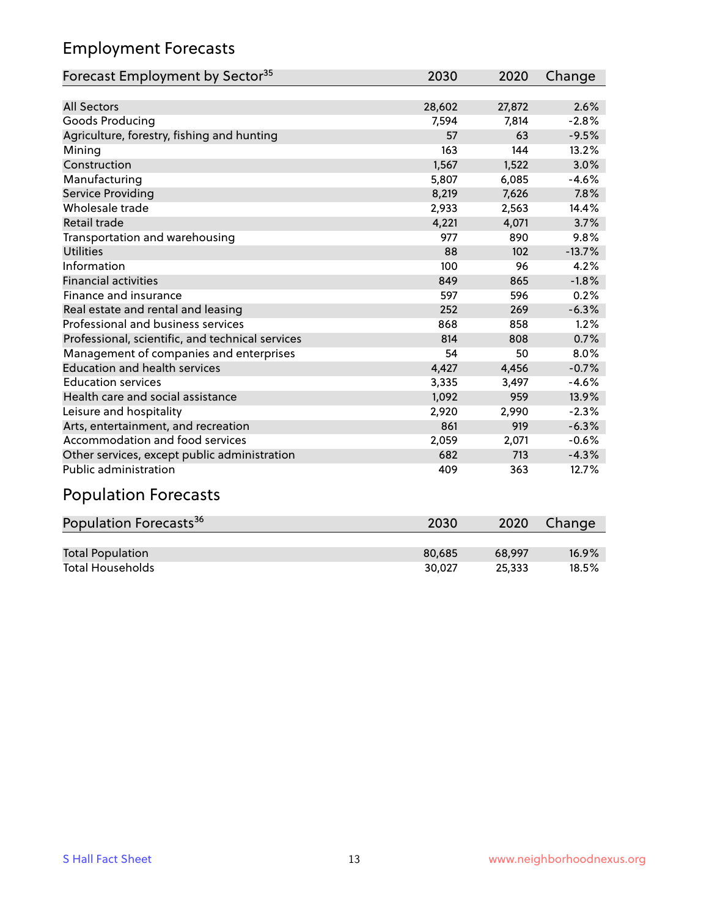## Employment Forecasts

| Forecast Employment by Sector <sup>35</sup>      | 2030   | 2020   | Change   |
|--------------------------------------------------|--------|--------|----------|
|                                                  |        |        |          |
| <b>All Sectors</b>                               | 28,602 | 27,872 | 2.6%     |
| Goods Producing                                  | 7,594  | 7,814  | $-2.8%$  |
| Agriculture, forestry, fishing and hunting       | 57     | 63     | $-9.5%$  |
| Mining                                           | 163    | 144    | 13.2%    |
| Construction                                     | 1,567  | 1,522  | 3.0%     |
| Manufacturing                                    | 5,807  | 6,085  | $-4.6%$  |
| Service Providing                                | 8,219  | 7,626  | 7.8%     |
| Wholesale trade                                  | 2,933  | 2,563  | 14.4%    |
| Retail trade                                     | 4,221  | 4,071  | 3.7%     |
| Transportation and warehousing                   | 977    | 890    | 9.8%     |
| <b>Utilities</b>                                 | 88     | 102    | $-13.7%$ |
| Information                                      | 100    | 96     | 4.2%     |
| <b>Financial activities</b>                      | 849    | 865    | $-1.8%$  |
| Finance and insurance                            | 597    | 596    | 0.2%     |
| Real estate and rental and leasing               | 252    | 269    | $-6.3%$  |
| Professional and business services               | 868    | 858    | 1.2%     |
| Professional, scientific, and technical services | 814    | 808    | 0.7%     |
| Management of companies and enterprises          | 54     | 50     | 8.0%     |
| <b>Education and health services</b>             | 4,427  | 4,456  | $-0.7%$  |
| <b>Education services</b>                        | 3,335  | 3,497  | $-4.6%$  |
| Health care and social assistance                | 1,092  | 959    | 13.9%    |
| Leisure and hospitality                          | 2,920  | 2,990  | $-2.3%$  |
| Arts, entertainment, and recreation              | 861    | 919    | $-6.3%$  |
| Accommodation and food services                  | 2,059  | 2,071  | $-0.6%$  |
| Other services, except public administration     | 682    | 713    | $-4.3%$  |
| Public administration                            | 409    | 363    | 12.7%    |
| <b>Population Forecasts</b>                      |        |        |          |

| Population Forecasts <sup>36</sup> | 2030   | 2020   | Change   |
|------------------------------------|--------|--------|----------|
|                                    |        |        |          |
| <b>Total Population</b>            | 80.685 | 68.997 | $16.9\%$ |
| <b>Total Households</b>            | 30.027 | 25.333 | 18.5%    |